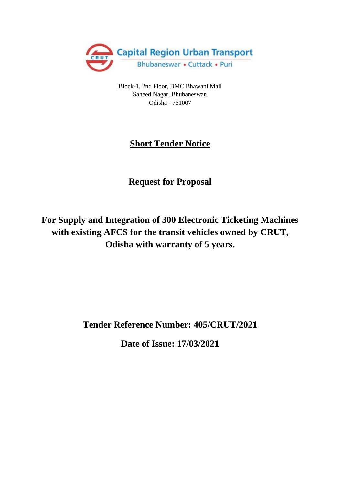

Block-1, 2nd Floor, BMC Bhawani Mall Saheed Nagar, Bhubaneswar, Odisha - 751007

# **Short Tender Notice**

# **Request for Proposal**

**For Supply and Integration of 300 Electronic Ticketing Machines with existing AFCS for the transit vehicles owned by CRUT, Odisha with warranty of 5 years.**

**Tender Reference Number: 405/CRUT/2021**

**Date of Issue: 17/03/2021**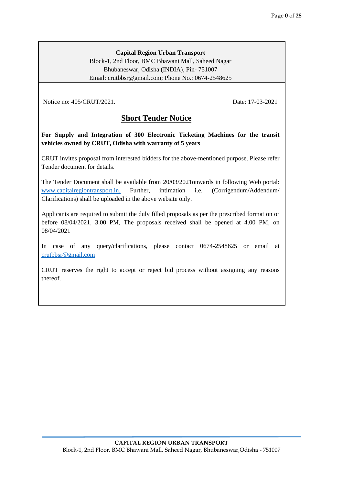#### **Capital Region Urban Transport**

Block-1, 2nd Floor, BMC Bhawani Mall, Saheed Nagar Bhubaneswar, Odisha (INDIA), Pin- 751007 Email: crutbbsr@gmail.com; Phone No.: 0674-2548625

Notice no: 405/CRUT/2021. Date: 17-03-2021

# **Short Tender Notice**

**For Supply and Integration of 300 Electronic Ticketing Machines for the transit vehicles owned by CRUT, Odisha with warranty of 5 years** 

1. CRUT invites proposal from interested bidders for the above-mentioned purpose. Please refer Tender document for details.

The Tender Document shall be available from 20/03/2021onwards in following Web portal: [www.capitalregiontransport.in.](http://www.osrtc.in/) Further, intimation i.e. (Corrigendum/Addendum/ Clarifications) shall be uploaded in the above website only.

3. Applicants are required to submit the duly filled proposals as per the prescribed format on or before 08/04/2021, 3.00 PM, The proposals received shall be opened at 4.00 PM, on 08/04/2021

In case of any query/clarifications, please contact 0674-2548625 or email at [crutbbsr@gmail.com](mailto:crutbbsr@gmail.com)

5. CRUT reserves the right to accept or reject bid process without assigning any reasons thereof.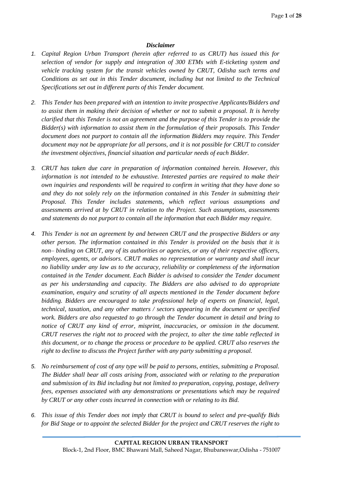#### *Disclaimer*

- *1. Capital Region Urban Transport (herein after referred to as CRUT) has issued this for selection of vendor for supply and integration of 300 ETMs with E-ticketing system and vehicle tracking system for the transit vehicles owned by CRUT, Odisha such terms and Conditions as set out in this Tender document, including but not limited to the Technical Specifications set out in different parts of this Tender document.*
- *2. This Tender has been prepared with an intention to invite prospective Applicants/Bidders and to assist them in making their decision of whether or not to submit a proposal. It is hereby clarified that this Tender is not an agreement and the purpose of this Tender is to provide the Bidder(s) with information to assist them in the formulation of their proposals. This Tender document does not purport to contain all the information Bidders may require. This Tender document may not be appropriate for all persons, and it is not possible for CRUT to consider the investment objectives, financial situation and particular needs of each Bidder.*
- *3. CRUT has taken due care in preparation of information contained herein. However, this information is not intended to be exhaustive. Interested parties are required to make their own inquiries and respondents will be required to confirm in writing that they have done so and they do not solely rely on the information contained in this Tender in submitting their Proposal. This Tender includes statements, which reflect various assumptions and assessments arrived at by CRUT in relation to the Project. Such assumptions, assessments and statements do not purport to contain all the information that each Bidder may require.*
- *4. This Tender is not an agreement by and between CRUT and the prospective Bidders or any other person. The information contained in this Tender is provided on the basis that it is non– binding on CRUT, any of its authorities or agencies, or any of their respective officers, employees, agents, or advisors. CRUT makes no representation or warranty and shall incur no liability under any law as to the accuracy, reliability or completeness of the information contained in the Tender document. Each Bidder is advised to consider the Tender document as per his understanding and capacity. The Bidders are also advised to do appropriate examination, enquiry and scrutiny of all aspects mentioned in the Tender document before bidding. Bidders are encouraged to take professional help of experts on financial, legal, technical, taxation, and any other matters / sectors appearing in the document or specified work. Bidders are also requested to go through the Tender document in detail and bring to notice of CRUT any kind of error, misprint, inaccuracies, or omission in the document. CRUT reserves the right not to proceed with the project, to alter the time table reflected in this document, or to change the process or procedure to be applied. CRUT also reserves the right to decline to discuss the Project further with any party submitting a proposal.*
- *5. No reimbursement of cost of any type will be paid to persons, entities, submitting a Proposal. The Bidder shall bear all costs arising from, associated with or relating to the preparation and submission of its Bid including but not limited to preparation, copying, postage, delivery fees, expenses associated with any demonstrations or presentations which may be required by CRUT or any other costs incurred in connection with or relating to its Bid.*
- *6. This issue of this Tender does not imply that CRUT is bound to select and pre-qualify Bids for Bid Stage or to appoint the selected Bidder for the project and CRUT reserves the right to*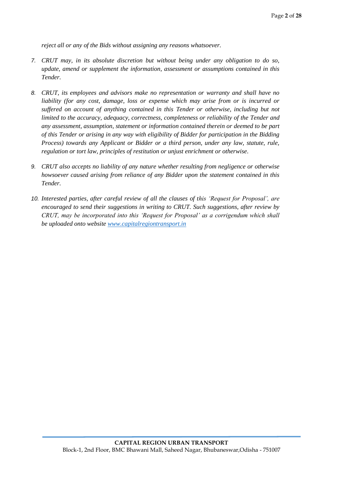*reject all or any of the Bids without assigning any reasons whatsoever.*

- *7. CRUT may, in its absolute discretion but without being under any obligation to do so, update, amend or supplement the information, assessment or assumptions contained in this Tender.*
- *8. CRUT, its employees and advisors make no representation or warranty and shall have no liability (for any cost, damage, loss or expense which may arise from or is incurred or suffered on account of anything contained in this Tender or otherwise, including but not limited to the accuracy, adequacy, correctness, completeness or reliability of the Tender and any assessment, assumption, statement or information contained therein or deemed to be part of this Tender or arising in any way with eligibility of Bidder for participation in the Bidding Process) towards any Applicant or Bidder or a third person, under any law, statute, rule, regulation or tort law, principles of restitution or unjust enrichment or otherwise.*
- *9. CRUT also accepts no liability of any nature whether resulting from negligence or otherwise howsoever caused arising from reliance of any Bidder upon the statement contained in this Tender.*
- *10. Interested parties, after careful review of all the clauses of this 'Request for Proposal', are encouraged to send their suggestions in writing to CRUT. Such suggestions, after review by CRUT, may be incorporated into this 'Request for Proposal' as a corrigendum which shall be uploaded onto website [www.capitalregiontransport.in](http://www.odishatenders.gov.in./)*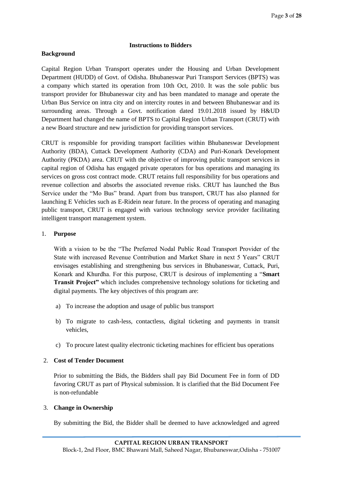#### **Instructions to Bidders**

#### **Background**

Capital Region Urban Transport operates under the Housing and Urban Development Department (HUDD) of Govt. of Odisha. Bhubaneswar Puri Transport Services (BPTS) was a company which started its operation from 10th Oct, 2010. It was the sole public bus transport provider for Bhubaneswar city and has been mandated to manage and operate the Urban Bus Service on intra city and on intercity routes in and between Bhubaneswar and its surrounding areas. Through a Govt. notification dated 19.01.2018 issued by H&UD Department had changed the name of BPTS to Capital Region Urban Transport (CRUT) with a new Board structure and new jurisdiction for providing transport services.

CRUT is responsible for providing transport facilities within Bhubaneswar Development Authority (BDA), Cuttack Development Authority (CDA) and Puri-Konark Development Authority (PKDA) area. CRUT with the objective of improving public transport services in capital region of Odisha has engaged private operators for bus operations and managing its services on gross cost contract mode. CRUT retains full responsibility for bus operations and revenue collection and absorbs the associated revenue risks. CRUT has launched the Bus Service under the "Mo Bus" brand. Apart from bus transport, CRUT has also planned for launching E Vehicles such as E-Ridein near future. In the process of operating and managing public transport, CRUT is engaged with various technology service provider facilitating intelligent transport management system.

#### 1. **Purpose**

With a vision to be the "The Preferred Nodal Public Road Transport Provider of the State with increased Revenue Contribution and Market Share in next 5 Years" CRUT envisages establishing and strengthening bus services in Bhubaneswar, Cuttack, Puri, Konark and Khurdha. For this purpose, CRUT is desirous of implementing a "**Smart Transit Project"** which includes comprehensive technology solutions for ticketing and digital payments. The key objectives of this program are:

- a) To increase the adoption and usage of public bus transport
- b) To migrate to cash-less, contactless, digital ticketing and payments in transit vehicles,
- c) To procure latest quality electronic ticketing machines for efficient bus operations

#### 2. **Cost of Tender Document**

Prior to submitting the Bids, the Bidders shall pay Bid Document Fee in form of DD favoring CRUT as part of Physical submission. It is clarified that the Bid Document Fee is non-refundable

#### 3. **Change in Ownership**

By submitting the Bid, the Bidder shall be deemed to have acknowledged and agreed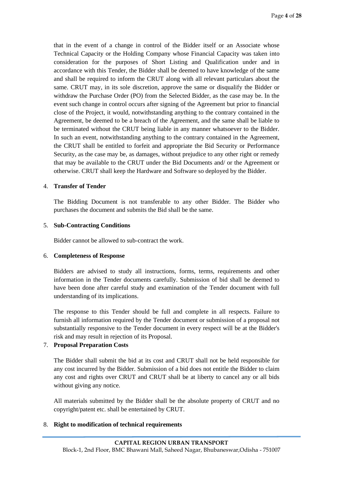that in the event of a change in control of the Bidder itself or an Associate whose Technical Capacity or the Holding Company whose Financial Capacity was taken into consideration for the purposes of Short Listing and Qualification under and in accordance with this Tender, the Bidder shall be deemed to have knowledge of the same and shall be required to inform the CRUT along with all relevant particulars about the same. CRUT may, in its sole discretion, approve the same or disqualify the Bidder or withdraw the Purchase Order (PO) from the Selected Bidder, as the case may be. In the event such change in control occurs after signing of the Agreement but prior to financial close of the Project, it would, notwithstanding anything to the contrary contained in the Agreement, be deemed to be a breach of the Agreement, and the same shall be liable to be terminated without the CRUT being liable in any manner whatsoever to the Bidder. In such an event, notwithstanding anything to the contrary contained in the Agreement, the CRUT shall be entitled to forfeit and appropriate the Bid Security or Performance Security, as the case may be, as damages, without prejudice to any other right or remedy that may be available to the CRUT under the Bid Documents and/ or the Agreement or otherwise. CRUT shall keep the Hardware and Software so deployed by the Bidder.

#### 4. **Transfer of Tender**

The Bidding Document is not transferable to any other Bidder. The Bidder who purchases the document and submits the Bid shall be the same.

#### 5. **Sub-Contracting Conditions**

Bidder cannot be allowed to sub-contract the work.

#### 6. **Completeness of Response**

Bidders are advised to study all instructions, forms, terms, requirements and other information in the Tender documents carefully. Submission of bid shall be deemed to have been done after careful study and examination of the Tender document with full understanding of its implications.

The response to this Tender should be full and complete in all respects. Failure to furnish all information required by the Tender document or submission of a proposal not substantially responsive to the Tender document in every respect will be at the Bidder's risk and may result in rejection of its Proposal.

#### 7. **Proposal Preparation Costs**

The Bidder shall submit the bid at its cost and CRUT shall not be held responsible for any cost incurred by the Bidder. Submission of a bid does not entitle the Bidder to claim any cost and rights over CRUT and CRUT shall be at liberty to cancel any or all bids without giving any notice.

All materials submitted by the Bidder shall be the absolute property of CRUT and no copyright/patent etc. shall be entertained by CRUT.

#### 8. **Right to modification of technical requirements**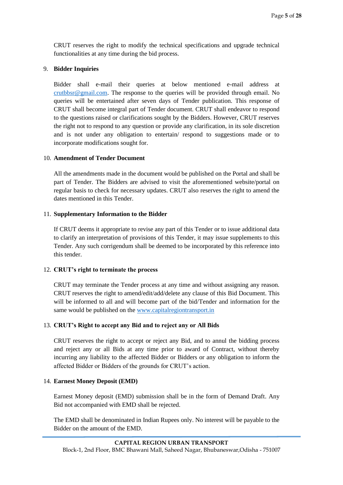CRUT reserves the right to modify the technical specifications and upgrade technical functionalities at any time during the bid process.

#### 9. **Bidder Inquiries**

Bidder shall e-mail their queries at below mentioned e-mail address at [crutbbsr@gmail.com.](mailto:crutbbsr@gmail.com) The response to the queries will be provided through email. No queries will be entertained after seven days of Tender publication. This response of CRUT shall become integral part of Tender document. CRUT shall endeavor to respond to the questions raised or clarifications sought by the Bidders. However, CRUT reserves the right not to respond to any question or provide any clarification, in its sole discretion and is not under any obligation to entertain/ respond to suggestions made or to incorporate modifications sought for.

#### 10. **Amendment of Tender Document**

All the amendments made in the document would be published on the Portal and shall be part of Tender. The Bidders are advised to visit the aforementioned website/portal on regular basis to check for necessary updates. CRUT also reserves the right to amend the dates mentioned in this Tender.

### 11. **Supplementary Information to the Bidder**

If CRUT deems it appropriate to revise any part of this Tender or to issue additional data to clarify an interpretation of provisions of this Tender, it may issue supplements to this Tender. Any such corrigendum shall be deemed to be incorporated by this reference into this tender.

#### 12. **CRUT's right to terminate the process**

CRUT may terminate the Tender process at any time and without assigning any reason. CRUT reserves the right to amend/edit/add/delete any clause of this Bid Document. This will be informed to all and will become part of the bid/Tender and information for the same would be published on the [www.capitalregiontransport.in](http://www.osrtc.in/)

# 13. **CRUT's Right to accept any Bid and to reject any or All Bids**

CRUT reserves the right to accept or reject any Bid, and to annul the bidding process and reject any or all Bids at any time prior to award of Contract, without thereby incurring any liability to the affected Bidder or Bidders or any obligation to inform the affected Bidder or Bidders of the grounds for CRUT's action.

#### 14. **Earnest Money Deposit (EMD)**

Earnest Money deposit (EMD) submission shall be in the form of Demand Draft. Any Bid not accompanied with EMD shall be rejected.

The EMD shall be denominated in Indian Rupees only. No interest will be payable to the Bidder on the amount of the EMD.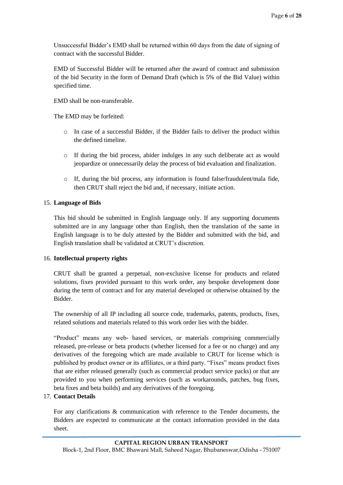Unsuccessful Bidder's EMD shall be returned within 60 days from the date of signing of contract with the successful Bidder.

EMD of Successful Bidder will be returned after the award of contract and submission of the bid Security in the form of Demand Draft (which is 5% of the Bid Value) within specified time.

EMD shall be non-transferable.

The EMD may be forfeited:

- o In case of a successful Bidder, if the Bidder fails to deliver the product within the defined timeline.
- o If during the bid process, abider indulges in any such deliberate act as would jeopardize or unnecessarily delay the process of bid evaluation and finalization.
- o If, during the bid process, any information is found false/fraudulent/mala fide, then CRUT shall reject the bid and, if necessary, initiate action.

#### 15. **Language of Bids**

This bid should be submitted in English language only. If any supporting documents submitted are in any language other than English, then the translation of the same in English language is to be duly attested by the Bidder and submitted with the bid, and English translation shall be validated at CRUT's discretion.

#### 16. **Intellectual property rights**

CRUT shall be granted a perpetual, non-exclusive license for products and related solutions, fixes provided pursuant to this work order, any bespoke development done during the term of contract and for any material developed or otherwise obtained by the Bidder.

The ownership of all IP including all source code, trademarks, patents, products, fixes, related solutions and materials related to this work order lies with the bidder.

"Product" means any web- based services, or materials comprising commercially released, pre-release or beta products (whether licensed for a fee or no charge) and any derivatives of the foregoing which are made available to CRUT for license which is published by product owner or its affiliates, or a third party. "Fixes" means product fixes that are either released generally (such as commercial product service packs) or that are provided to you when performing services (such as workarounds, patches, bug fixes, beta fixes and beta builds) and any derivatives of the foregoing.

#### 17. **Contact Details**

For any clarifications & communication with reference to the Tender documents, the Bidders are expected to communicate at the contact information provided in the data sheet.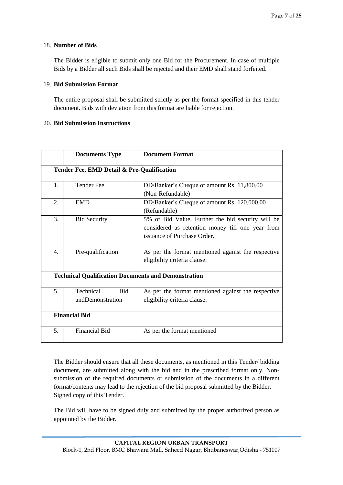#### 18. **Number of Bids**

The Bidder is eligible to submit only one Bid for the Procurement. In case of multiple Bids by a Bidder all such Bids shall be rejected and their EMD shall stand forfeited.

#### 19. **Bid Submission Format**

The entire proposal shall be submitted strictly as per the format specified in this tender document. Bids with deviation from this format are liable for rejection.

#### 20. **Bid Submission Instructions**

|                | <b>Documents Type</b>                       | <b>Document Format</b>                                                                                                               |  |  |  |  |  |
|----------------|---------------------------------------------|--------------------------------------------------------------------------------------------------------------------------------------|--|--|--|--|--|
|                | Tender Fee, EMD Detail & Pre-Qualification  |                                                                                                                                      |  |  |  |  |  |
| 1.             | <b>Tender Fee</b>                           | DD/Banker's Cheque of amount Rs. 11,800.00<br>(Non-Refundable)                                                                       |  |  |  |  |  |
| 2.             | <b>EMD</b>                                  | DD/Banker's Cheque of amount Rs. 120,000.00<br>(Refundable)                                                                          |  |  |  |  |  |
| 3.             | <b>Bid Security</b>                         | 5% of Bid Value, Further the bid security will be<br>considered as retention money till one year from<br>issuance of Purchase Order. |  |  |  |  |  |
| $\mathbf{4}$ . | Pre-qualification                           | As per the format mentioned against the respective<br>eligibility criteria clause.                                                   |  |  |  |  |  |
|                |                                             | <b>Technical Qualification Documents and Demonstration</b>                                                                           |  |  |  |  |  |
| 5 <sub>1</sub> | Technical<br><b>Bid</b><br>andDemonstration | As per the format mentioned against the respective<br>eligibility criteria clause.                                                   |  |  |  |  |  |
|                | <b>Financial Bid</b>                        |                                                                                                                                      |  |  |  |  |  |
| 5.             | <b>Financial Bid</b>                        | As per the format mentioned                                                                                                          |  |  |  |  |  |

The Bidder should ensure that all these documents, as mentioned in this Tender/ bidding document, are submitted along with the bid and in the prescribed format only. Nonsubmission of the required documents or submission of the documents in a different format/contents may lead to the rejection of the bid proposal submitted by the Bidder. Signed copy of this Tender.

The Bid will have to be signed duly and submitted by the proper authorized person as appointed by the Bidder.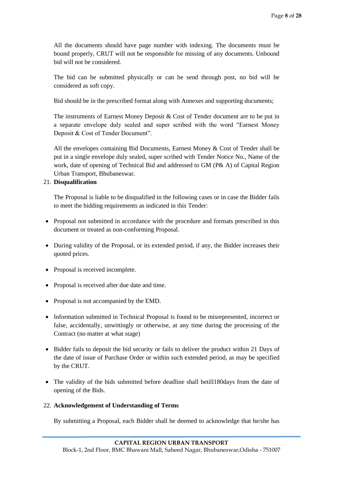All the documents should have page number with indexing. The documents must be bound properly, CRUT will not be responsible for missing of any documents. Unbound bid will not be considered.

The bid can be submitted physically or can be send through post, no bid will be considered as soft copy.

Bid should be in the prescribed format along with Annexes and supporting documents;

The instruments of Earnest Money Deposit & Cost of Tender document are to be put in a separate envelope duly sealed and super scribed with the word "Earnest Money Deposit & Cost of Tender Document".

All the envelopes containing Bid Documents, Earnest Money & Cost of Tender shall be put in a single envelope duly sealed, super scribed with Tender Notice No., Name of the work, date of opening of Technical Bid and addressed to GM (P& A) of Capital Region Urban Transport, Bhubaneswar.

#### 21. **Disqualification**

The Proposal is liable to be disqualified in the following cases or in case the Bidder fails to meet the bidding requirements as indicated in this Tender:

- Proposal not submitted in accordance with the procedure and formats prescribed in this document or treated as non-conforming Proposal.
- During validity of the Proposal, or its extended period, if any, the Bidder increases their quoted prices.
- Proposal is received incomplete.
- Proposal is received after due date and time.
- Proposal is not accompanied by the EMD.
- Information submitted in Technical Proposal is found to be misrepresented, incorrect or false, accidentally, unwittingly or otherwise, at any time during the processing of the Contract (no matter at what stage)
- Bidder fails to deposit the bid security or fails to deliver the product within 21 Days of the date of issue of Purchase Order or within such extended period, as may be specified by the CRUT.
- The validity of the bids submitted before deadline shall betill180days from the date of opening of the Bids.

#### 22. **Acknowledgement of Understanding of Terms**

By submitting a Proposal, each Bidder shall be deemed to acknowledge that he/she has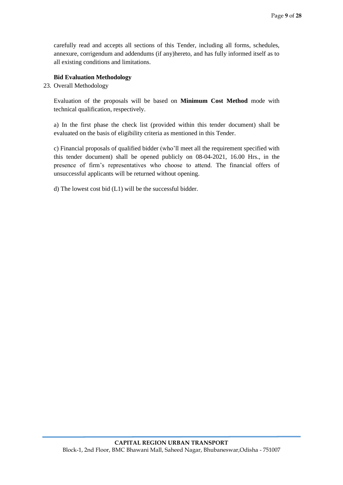carefully read and accepts all sections of this Tender, including all forms, schedules, annexure, corrigendum and addendums (if any)hereto, and has fully informed itself as to all existing conditions and limitations.

#### **Bid Evaluation Methodology**

23. Overall Methodology

Evaluation of the proposals will be based on **Minimum Cost Method** mode with technical qualification, respectively.

a) In the first phase the check list (provided within this tender document) shall be evaluated on the basis of eligibility criteria as mentioned in this Tender.

c) Financial proposals of qualified bidder (who'll meet all the requirement specified with this tender document) shall be opened publicly on 08-04-2021, 16.00 Hrs., in the presence of firm's representatives who choose to attend. The financial offers of unsuccessful applicants will be returned without opening.

d) The lowest cost bid (L1) will be the successful bidder.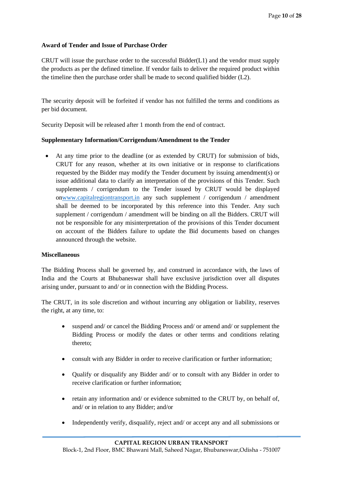#### **Award of Tender and Issue of Purchase Order**

CRUT will issue the purchase order to the successful Bidder $(L1)$  and the vendor must supply the products as per the defined timeline. If vendor fails to deliver the required product within the timeline then the purchase order shall be made to second qualified bidder (L2).

The security deposit will be forfeited if vendor has not fulfilled the terms and conditions as per bid document.

Security Deposit will be released after 1 month from the end of contract.

#### **Supplementary Information/Corrigendum/Amendment to the Tender**

• At any time prior to the deadline (or as extended by CRUT) for submission of bids, CRUT for any reason, whether at its own initiative or in response to clarifications requested by the Bidder may modify the Tender document by issuing amendment(s) or issue additional data to clarify an interpretation of the provisions of this Tender. Such supplements / corrigendum to the Tender issued by CRUT would be displayed o[nwww.capitalregiontransport.in](http://www.osrtc.in/) any such supplement / corrigendum / amendment shall be deemed to be incorporated by this reference into this Tender. Any such supplement / corrigendum / amendment will be binding on all the Bidders. CRUT will not be responsible for any misinterpretation of the provisions of this Tender document on account of the Bidders failure to update the Bid documents based on changes announced through the website.

#### **Miscellaneous**

The Bidding Process shall be governed by, and construed in accordance with, the laws of India and the Courts at Bhubaneswar shall have exclusive jurisdiction over all disputes arising under, pursuant to and/ or in connection with the Bidding Process.

The CRUT, in its sole discretion and without incurring any obligation or liability, reserves the right, at any time, to:

- suspend and/ or cancel the Bidding Process and/ or amend and/ or supplement the Bidding Process or modify the dates or other terms and conditions relating thereto;
- consult with any Bidder in order to receive clarification or further information;
- Qualify or disqualify any Bidder and/ or to consult with any Bidder in order to receive clarification or further information;
- retain any information and/ or evidence submitted to the CRUT by, on behalf of, and/ or in relation to any Bidder; and/or
- Independently verify, disqualify, reject and/ or accept any and all submissions or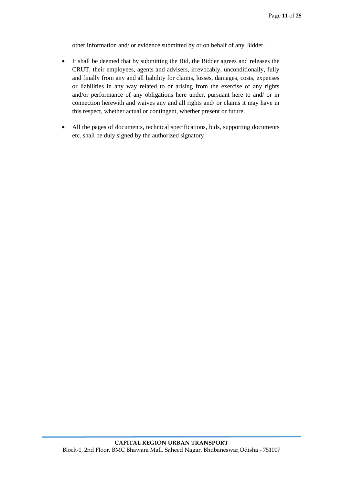other information and/ or evidence submitted by or on behalf of any Bidder.

- It shall be deemed that by submitting the Bid, the Bidder agrees and releases the CRUT, their employees, agents and advisers, irrevocably, unconditionally, fully and finally from any and all liability for claims, losses, damages, costs, expenses or liabilities in any way related to or arising from the exercise of any rights and/or performance of any obligations here under, pursuant here to and/ or in connection herewith and waives any and all rights and/ or claims it may have in this respect, whether actual or contingent, whether present or future.
- All the pages of documents, technical specifications, bids, supporting documents etc. shall be duly signed by the authorized signatory.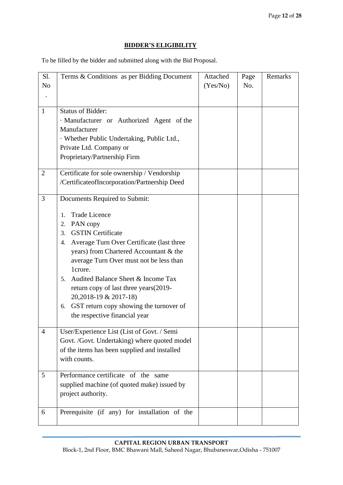# **BIDDER'S ELIGIBILITY**

To be filled by the bidder and submitted along with the Bid Proposal.

| Sl.            | Terms & Conditions as per Bidding Document           | Attached | Page | Remarks |
|----------------|------------------------------------------------------|----------|------|---------|
| N <sub>o</sub> |                                                      | (Yes/No) | No.  |         |
|                |                                                      |          |      |         |
| $\mathbf{1}$   | <b>Status of Bidder:</b>                             |          |      |         |
|                | · Manufacturer or Authorized Agent of the            |          |      |         |
|                | Manufacturer                                         |          |      |         |
|                | · Whether Public Undertaking, Public Ltd.,           |          |      |         |
|                | Private Ltd. Company or                              |          |      |         |
|                | Proprietary/Partnership Firm                         |          |      |         |
| $\overline{2}$ | Certificate for sole ownership / Vendorship          |          |      |         |
|                | /CertificateofIncorporation/Partnership Deed         |          |      |         |
| 3              | Documents Required to Submit:                        |          |      |         |
|                | <b>Trade Licence</b><br>$\mathbf{1}_{\cdot}$         |          |      |         |
|                | 2. PAN copy                                          |          |      |         |
|                | <b>GSTIN</b> Certificate<br>3.                       |          |      |         |
|                | Average Turn Over Certificate (last three<br>4.      |          |      |         |
|                | years) from Chartered Accountant & the               |          |      |         |
|                | average Turn Over must not be less than              |          |      |         |
|                | 1crore.                                              |          |      |         |
|                | Audited Balance Sheet & Income Tax<br>5 <sub>1</sub> |          |      |         |
|                | return copy of last three years (2019-               |          |      |         |
|                | 20,2018-19 & 2017-18)                                |          |      |         |
|                | 6. GST return copy showing the turnover of           |          |      |         |
|                | the respective financial year                        |          |      |         |
| 4              | User/Experience List (List of Govt. / Semi           |          |      |         |
|                | Govt. /Govt. Undertaking) where quoted model         |          |      |         |
|                | of the items has been supplied and installed         |          |      |         |
|                | with counts.                                         |          |      |         |
| 5              | Performance certificate of the same                  |          |      |         |
|                | supplied machine (of quoted make) issued by          |          |      |         |
|                | project authority.                                   |          |      |         |
| 6              | Prerequisite (if any) for installation of the        |          |      |         |
|                |                                                      |          |      |         |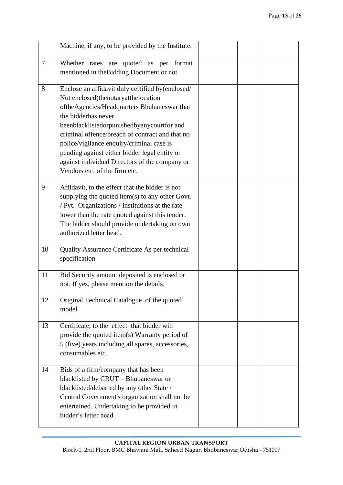|    | Machine, if any, to be provided by the Institute.                                                                                                                                                                                                                                                                                                                                                                                               |  |  |
|----|-------------------------------------------------------------------------------------------------------------------------------------------------------------------------------------------------------------------------------------------------------------------------------------------------------------------------------------------------------------------------------------------------------------------------------------------------|--|--|
| 7  | Whether rates are quoted as per format<br>mentioned in the Bidding Document or not.                                                                                                                                                                                                                                                                                                                                                             |  |  |
| 8  | Enclose an affidavit duly certified by(enclosed/<br>Not enclosed)thenotaryatthelocation<br>oftheAgencies/Headquarters Bhubaneswar that<br>the bidderhas never<br>beenblacklistedorpunishedbyanycourtfor and<br>criminal offence/breach of contract and that no<br>police/vigilance enquiry/criminal case is<br>pending against either bidder legal entity or<br>against individual Directors of the company or<br>Vendors etc. of the firm etc. |  |  |
| 9  | Affidavit, to the effect that the bidder is not<br>supplying the quoted item(s) to any other Govt.<br>/ Pvt. Organizations / Institutions at the rate<br>lower than the rate quoted against this tender.<br>The bidder should provide undertaking on own<br>authorized letter head.                                                                                                                                                             |  |  |
| 10 | Quality Assurance Certificate As per technical<br>specification                                                                                                                                                                                                                                                                                                                                                                                 |  |  |
| 11 | Bid Security amount deposited is enclosed or<br>not. If yes, please mention the details.                                                                                                                                                                                                                                                                                                                                                        |  |  |
| 12 | Original Technical Catalogue of the quoted<br>model                                                                                                                                                                                                                                                                                                                                                                                             |  |  |
| 13 | Certificate, to the effect that bidder will<br>provide the quoted item(s) Warranty period of<br>5 (five) years including all spares, accessories,<br>consumables etc.                                                                                                                                                                                                                                                                           |  |  |
| 14 | Bids of a firm/company that has been<br>blacklisted by CRUT - Bhubaneswar or<br>blacklisted/debarred by any other State /<br>Central Government's organization shall not be<br>entertained. Undertaking to be provided in<br>bidder's letter head.                                                                                                                                                                                              |  |  |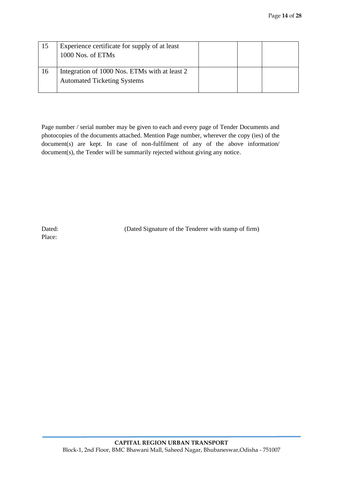|    | Experience certificate for supply of at least<br>1000 Nos. of ETMs                  |  |  |
|----|-------------------------------------------------------------------------------------|--|--|
| 16 | Integration of 1000 Nos. ETMs with at least 2<br><b>Automated Ticketing Systems</b> |  |  |

Page number / serial number may be given to each and every page of Tender Documents and photocopies of the documents attached. Mention Page number, wherever the copy (ies) of the document(s) are kept. In case of non-fulfilment of any of the above information/ document(s), the Tender will be summarily rejected without giving any notice.

Dated: (Dated Signature of the Tenderer with stamp of firm)

Place: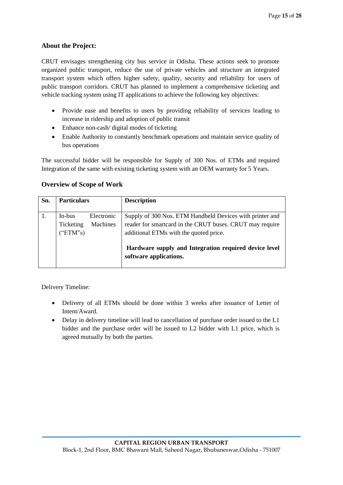# **About the Project:**

CRUT envisages strengthening city bus service in Odisha. These actions seek to promote organized public transport, reduce the use of private vehicles and structure an integrated transport system which offers higher safety, quality, security and reliability for users of public transport corridors. CRUT has planned to implement a comprehensive ticketing and vehicle tracking system using IT applications to achieve the following key objectives:

- Provide ease and benefits to users by providing reliability of services leading to increase in ridership and adoption of public transit
- Enhance non-cash/ digital modes of ticketing
- Enable Authority to constantly benchmark operations and maintain service quality of bus operations

The successful bidder will be responsible for Supply of 300 Nos. of ETMs and required Integration of the same with existing ticketing system with an OEM warranty for 5 Years.

| Sn. | <b>Particulars</b>              |                        | <b>Description</b>                                                                                                                                                                                                      |
|-----|---------------------------------|------------------------|-------------------------------------------------------------------------------------------------------------------------------------------------------------------------------------------------------------------------|
|     | In-bus<br>Ticketing<br>("ETM's) | Electronic<br>Machines | Supply of 300 Nos. ETM Handheld Devices with printer and<br>reader for smartcard in the CRUT buses. CRUT may require<br>additional ETMs with the quoted price.<br>Hardware supply and Integration required device level |
|     |                                 |                        | software applications.                                                                                                                                                                                                  |

#### **Overview of Scope of Work**

Delivery Timeline:

- Delivery of all ETMs should be done within 3 weeks after issuance of Letter of Intent/Award.
- Delay in delivery timeline will lead to cancellation of purchase order issued to the L1 bidder and the purchase order will be issued to L2 bidder with L1 price, which is agreed mutually by both the parties.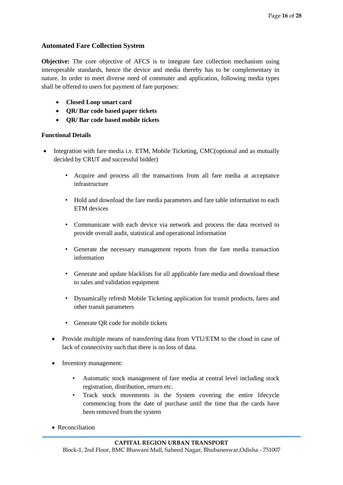# **Automated Fare Collection System**

**Objective:** The core objective of AFCS is to integrate fare collection mechanism using interoperable standards, hence the device and media thereby has to be complementary in nature. In order to meet diverse need of commuter and application, following media types shall be offered to users for payment of fare purposes:

- **Closed Loop smart card**
- **QR/ Bar code based paper tickets**
- **QR/ Bar code based mobile tickets**

#### **Functional Details**

- Integration with fare media i.e. ETM, Mobile Ticketing, CMC(optional and as mutually decided by CRUT and successful bidder)
	- Acquire and process all the transactions from all fare media at acceptance infrastructure
	- Hold and download the fare media parameters and fare table information to each ETM devices
	- Communicate with each device via network and process the data received to provide overall audit, statistical and operational information
	- Generate the necessary management reports from the fare media transaction information
	- Generate and update blacklists for all applicable fare media and download these to sales and validation equipment
	- Dynamically refresh Mobile Ticketing application for transit products, fares and other transit parameters
	- Generate QR code for mobile tickets
	- Provide multiple means of transferring data from VTU/ETM to the cloud in case of lack of connectivity such that there is no loss of data.
	- Inventory management:
		- Automatic stock management of fare media at central level including stock registration, distribution, return etc.
		- Track stock movements in the System covering the entire lifecycle commencing from the date of purchase until the time that the cards have been removed from the system
	- Reconciliation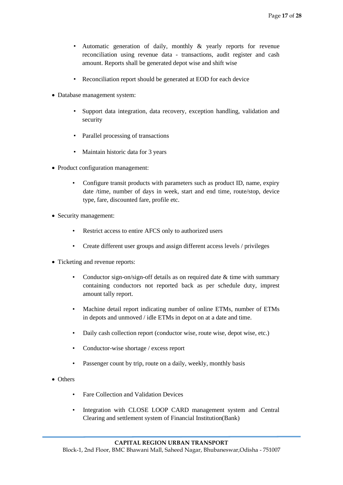- Automatic generation of daily, monthly & yearly reports for revenue reconciliation using revenue data - transactions, audit register and cash amount. Reports shall be generated depot wise and shift wise
- Reconciliation report should be generated at EOD for each device
- Database management system:
	- Support data integration, data recovery, exception handling, validation and security
	- Parallel processing of transactions
	- Maintain historic data for 3 years
- Product configuration management:
	- Configure transit products with parameters such as product ID, name, expiry date /time, number of days in week, start and end time, route/stop, device type, fare, discounted fare, profile etc.
- Security management:
	- Restrict access to entire AFCS only to authorized users
	- Create different user groups and assign different access levels / privileges
- Ticketing and revenue reports:
	- Conductor sign-on/sign-off details as on required date  $&$  time with summary containing conductors not reported back as per schedule duty, imprest amount tally report.
	- Machine detail report indicating number of online ETMs, number of ETMs in depots and unmoved / idle ETMs in depot on at a date and time.
	- Daily cash collection report (conductor wise, route wise, depot wise, etc.)
	- Conductor-wise shortage / excess report
	- Passenger count by trip, route on a daily, weekly, monthly basis
- Others
	- Fare Collection and Validation Devices
	- Integration with CLOSE LOOP CARD management system and Central Clearing and settlement system of Financial Institution(Bank)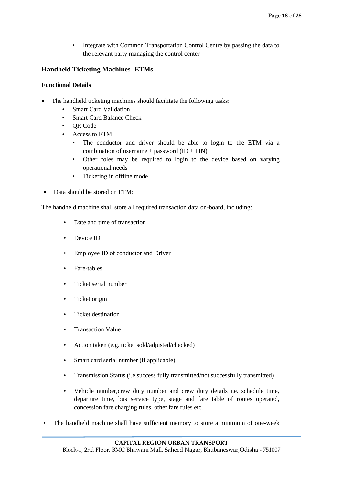• Integrate with Common Transportation Control Centre by passing the data to the relevant party managing the control center

# **Handheld Ticketing Machines- ETMs**

#### **Functional Details**

- The handheld ticketing machines should facilitate the following tasks:
	- **Smart Card Validation**
	- Smart Card Balance Check
	- QR Code
	- Access to ETM:
		- The conductor and driver should be able to login to the ETM via a combination of username + password  $(ID + PIN)$
		- Other roles may be required to login to the device based on varying operational needs
		- Ticketing in offline mode
- Data should be stored on ETM:

The handheld machine shall store all required transaction data on-board, including:

- Date and time of transaction
- Device ID
- Employee ID of conductor and Driver
- Fare-tables
- Ticket serial number
- Ticket origin
- Ticket destination
- Transaction Value
- Action taken (e.g. ticket sold/adjusted/checked)
- Smart card serial number (if applicable)
- Transmission Status (i.e.success fully transmitted/not successfully transmitted)
- Vehicle number,crew duty number and crew duty details i.e. schedule time, departure time, bus service type, stage and fare table of routes operated, concession fare charging rules, other fare rules etc.
- The handheld machine shall have sufficient memory to store a minimum of one-week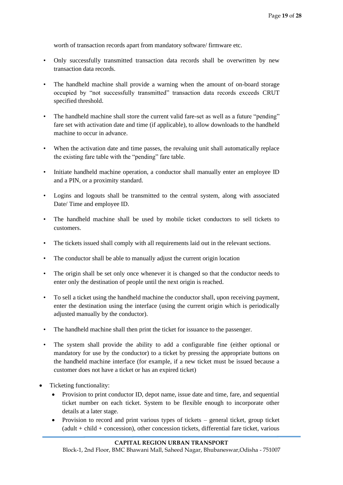worth of transaction records apart from mandatory software/ firmware etc.

- Only successfully transmitted transaction data records shall be overwritten by new transaction data records.
- The handheld machine shall provide a warning when the amount of on-board storage occupied by "not successfully transmitted" transaction data records exceeds CRUT specified threshold.
- The handheld machine shall store the current valid fare-set as well as a future "pending" fare set with activation date and time (if applicable), to allow downloads to the handheld machine to occur in advance.
- When the activation date and time passes, the revaluing unit shall automatically replace the existing fare table with the "pending" fare table.
- Initiate handheld machine operation, a conductor shall manually enter an employee ID and a PIN, or a proximity standard.
- Logins and logouts shall be transmitted to the central system, along with associated Date/ Time and employee ID.
- The handheld machine shall be used by mobile ticket conductors to sell tickets to customers.
- The tickets issued shall comply with all requirements laid out in the relevant sections.
- The conductor shall be able to manually adjust the current origin location
- The origin shall be set only once whenever it is changed so that the conductor needs to enter only the destination of people until the next origin is reached.
- To sell a ticket using the handheld machine the conductor shall, upon receiving payment, enter the destination using the interface (using the current origin which is periodically adjusted manually by the conductor).
- The handheld machine shall then print the ticket for issuance to the passenger.
- The system shall provide the ability to add a configurable fine (either optional or mandatory for use by the conductor) to a ticket by pressing the appropriate buttons on the handheld machine interface (for example, if a new ticket must be issued because a customer does not have a ticket or has an expired ticket)
- Ticketing functionality:
	- Provision to print conductor ID, depot name, issue date and time, fare, and sequential ticket number on each ticket. System to be flexible enough to incorporate other details at a later stage.
	- Provision to record and print various types of tickets general ticket, group ticket (adult + child + concession), other concession tickets, differential fare ticket, various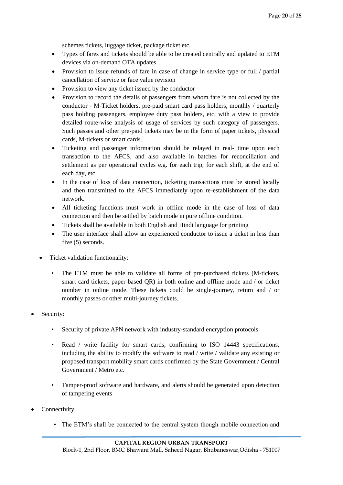schemes tickets, luggage ticket, package ticket etc.

- Types of fares and tickets should be able to be created centrally and updated to ETM devices via on-demand OTA updates
- Provision to issue refunds of fare in case of change in service type or full / partial cancellation of service or face value revision
- Provision to view any ticket issued by the conductor
- Provision to record the details of passengers from whom fare is not collected by the conductor - M-Ticket holders, pre-paid smart card pass holders, monthly / quarterly pass holding passengers, employee duty pass holders, etc. with a view to provide detailed route-wise analysis of usage of services by such category of passengers. Such passes and other pre-paid tickets may be in the form of paper tickets, physical cards, M-tickets or smart cards.
- Ticketing and passenger information should be relayed in real- time upon each transaction to the AFCS, and also available in batches for reconciliation and settlement as per operational cycles e.g. for each trip, for each shift, at the end of each day, etc.
- In the case of loss of data connection, ticketing transactions must be stored locally and then transmitted to the AFCS immediately upon re-establishment of the data network.
- All ticketing functions must work in offline mode in the case of loss of data connection and then be settled by batch mode in pure offline condition.
- Tickets shall be available in both English and Hindi language for printing
- The user interface shall allow an experienced conductor to issue a ticket in less than five (5) seconds.
- Ticket validation functionality:
	- The ETM must be able to validate all forms of pre-purchased tickets (M-tickets, smart card tickets, paper-based QR) in both online and offline mode and / or ticket number in online mode. These tickets could be single-journey, return and / or monthly passes or other multi-journey tickets.
- Security:
	- Security of private APN network with industry-standard encryption protocols
	- Read / write facility for smart cards, confirming to ISO 14443 specifications, including the ability to modify the software to read / write / validate any existing or proposed transport mobility smart cards confirmed by the State Government / Central Government / Metro etc.
	- Tamper-proof software and hardware, and alerts should be generated upon detection of tampering events
- **Connectivity** 
	- The ETM's shall be connected to the central system though mobile connection and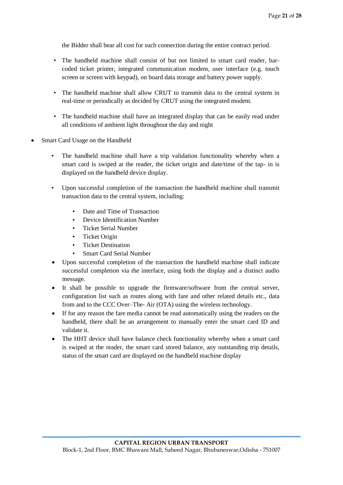the Bidder shall bear all cost for such connection during the entire contract period.

- The handheld machine shall consist of but not limited to smart card reader, barcoded ticket printer, integrated communication modem, user interface (e.g. touch screen or screen with keypad), on board data storage and battery power supply.
- The handheld machine shall allow CRUT to transmit data to the central system in real-time or periodically as decided by CRUT using the integrated modem.
- The handheld machine shall have an integrated display that can be easily read under all conditions of ambient light throughout the day and night
- Smart Card Usage on the Handheld
	- The handheld machine shall have a trip validation functionality whereby when a smart card is swiped at the reader, the ticket origin and date/time of the tap- in is displayed on the handheld device display.
	- Upon successful completion of the transaction the handheld machine shall transmit transaction data to the central system, including:
		- Date and Time of Transaction
		- Device Identification Number
		- Ticket Serial Number
		- Ticket Origin
		- Ticket Destination
		- Smart Card Serial Number
	- Upon successful completion of the transaction the handheld machine shall indicate successful completion via the interface, using both the display and a distinct audio message.
	- It shall be possible to upgrade the firmware/software from the central server, configuration list such as routes along with fare and other related details etc., data from and to the CCC Over–The- Air (OTA) using the wireless technology.
	- If for any reason the fare media cannot be read automatically using the readers on the handheld, there shall be an arrangement to manually enter the smart card ID and validate it.
	- The HHT device shall have balance check functionality whereby when a smart card is swiped at the reader, the smart card stored balance, any outstanding trip details, status of the smart card are displayed on the handheld machine display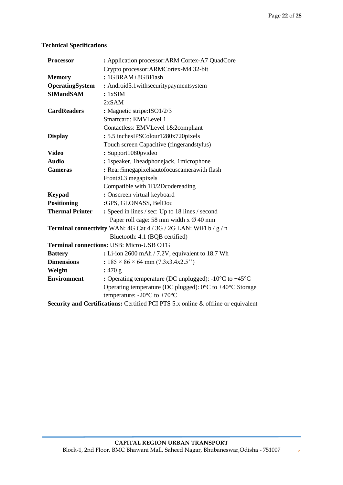$\downarrow$ 

# **Technical Specifications**

| <b>Processor</b>       | : Application processor: ARM Cortex-A7 QuadCore                                   |
|------------------------|-----------------------------------------------------------------------------------|
|                        | Crypto processor: ARMCortex-M4 32-bit                                             |
| <b>Memory</b>          | : 1GBRAM+8GBFlash                                                                 |
| OperatingSystem        | : Android5.1withsecuritypaymentsystem                                             |
| <b>SIMandSAM</b>       | : 1xSIM                                                                           |
|                        | 2xSAM                                                                             |
| <b>CardReaders</b>     | : Magnetic stripe: ISO1/2/3                                                       |
|                        | Smartcard: EMVLevel 1                                                             |
|                        | Contactless: EMVLevel 1&2compliant                                                |
| <b>Display</b>         | : 5.5 inchesIPSColour1280x720pixels                                               |
|                        | Touch screen Capacitive (fingerandstylus)                                         |
| <b>Video</b>           | : Support1080pvideo                                                               |
| <b>Audio</b>           | : 1speaker, 1headphonejack, 1microphone                                           |
| <b>Cameras</b>         | : Rear:5megapixelsautofocuscamerawith flash                                       |
|                        | Front:0.3 megapixels                                                              |
|                        | Compatible with 1D/2Dcodereading                                                  |
| <b>Keypad</b>          | : Onscreen virtual keyboard                                                       |
| <b>Positioning</b>     | :GPS, GLONASS, BelDou                                                             |
| <b>Thermal Printer</b> | : Speed in lines / sec: Up to 18 lines / second                                   |
|                        | Paper roll cage: 58 mm width x $\varnothing$ 40 mm                                |
|                        | Terminal connectivity WAN: 4G Cat 4 / 3G / 2G LAN: WiFi b / g / n                 |
|                        | Bluetooth: 4.1 (BQB certified)                                                    |
|                        | Terminal connections: USB: Micro-USB OTG                                          |
| <b>Battery</b>         | : Li-ion 2600 mAh / 7.2V, equivalent to 18.7 Wh                                   |
| <b>Dimensions</b>      | : $185 \times 86 \times 64$ mm (7.3x3.4x2.5")                                     |
| Weight                 | : 470 g                                                                           |
| <b>Environment</b>     | : Operating temperature (DC unplugged): $-10^{\circ}$ C to $+45^{\circ}$ C        |
|                        | Operating temperature (DC plugged): $0^{\circ}$ C to +40 $^{\circ}$ C Storage     |
|                        | temperature: -20 $\rm{^{\circ}C}$ to +70 $\rm{^{\circ}C}$                         |
|                        | Security and Certifications: Certified PCI PTS 5.x online & offline or equivalent |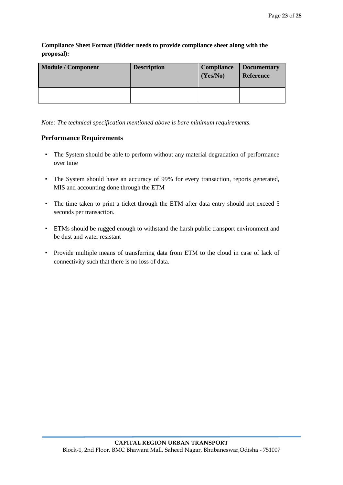**Compliance Sheet Format (Bidder needs to provide compliance sheet along with the proposal):** 

| <b>Module / Component</b> | <b>Description</b> | <b>Compliance</b><br>(Yes/No) | <b>Documentary</b><br><b>Reference</b> |
|---------------------------|--------------------|-------------------------------|----------------------------------------|
|                           |                    |                               |                                        |

*Note: The technical specification mentioned above is bare minimum requirements.* 

### **Performance Requirements**

- The System should be able to perform without any material degradation of performance over time
- The System should have an accuracy of 99% for every transaction, reports generated, MIS and accounting done through the ETM
- The time taken to print a ticket through the ETM after data entry should not exceed 5 seconds per transaction.
- ETMs should be rugged enough to withstand the harsh public transport environment and be dust and water resistant
- Provide multiple means of transferring data from ETM to the cloud in case of lack of connectivity such that there is no loss of data.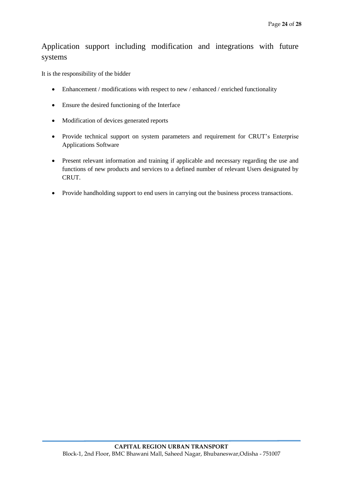# Application support including modification and integrations with future systems

It is the responsibility of the bidder

- Enhancement / modifications with respect to new / enhanced / enriched functionality
- Ensure the desired functioning of the Interface
- Modification of devices generated reports
- Provide technical support on system parameters and requirement for CRUT's Enterprise Applications Software
- Present relevant information and training if applicable and necessary regarding the use and functions of new products and services to a defined number of relevant Users designated by CRUT.
- Provide handholding support to end users in carrying out the business process transactions.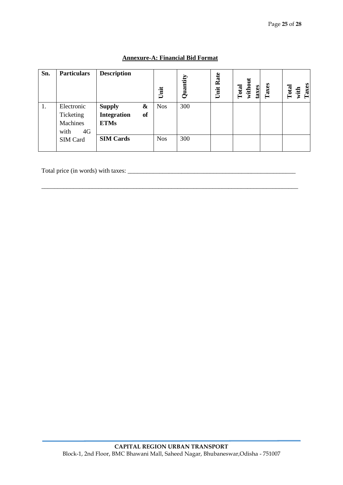| Sn. | <b>Particulars</b> | <b>Description</b>              | Unit       | Quantity | Rate<br>Unit | without<br>Total<br>taxes | Taxes | Taxes<br>Total<br>with |
|-----|--------------------|---------------------------------|------------|----------|--------------|---------------------------|-------|------------------------|
| 1.  | Electronic         | &<br><b>Supply</b>              | <b>Nos</b> | 300      |              |                           |       |                        |
|     | Ticketing          | <b>Integration</b><br><b>of</b> |            |          |              |                           |       |                        |
|     | Machines           | <b>ETMs</b>                     |            |          |              |                           |       |                        |
|     | 4G<br>with         |                                 |            |          |              |                           |       |                        |
|     | SIM Card           | <b>SIM Cards</b>                | <b>Nos</b> | 300      |              |                           |       |                        |

\_\_\_\_\_\_\_\_\_\_\_\_\_\_\_\_\_\_\_\_\_\_\_\_\_\_\_\_\_\_\_\_\_\_\_\_\_\_\_\_\_\_\_\_\_\_\_\_\_\_\_\_\_\_\_\_\_\_\_\_\_\_\_\_\_\_\_\_\_\_\_\_\_\_\_\_\_\_\_\_\_

# **Annexure-A: Financial Bid Format**

Total price (in words) with taxes: \_\_\_\_\_\_\_\_\_\_\_\_\_\_\_\_\_\_\_\_\_\_\_\_\_\_\_\_\_\_\_\_\_\_\_\_\_\_\_\_\_\_\_\_\_\_\_\_\_\_\_\_\_